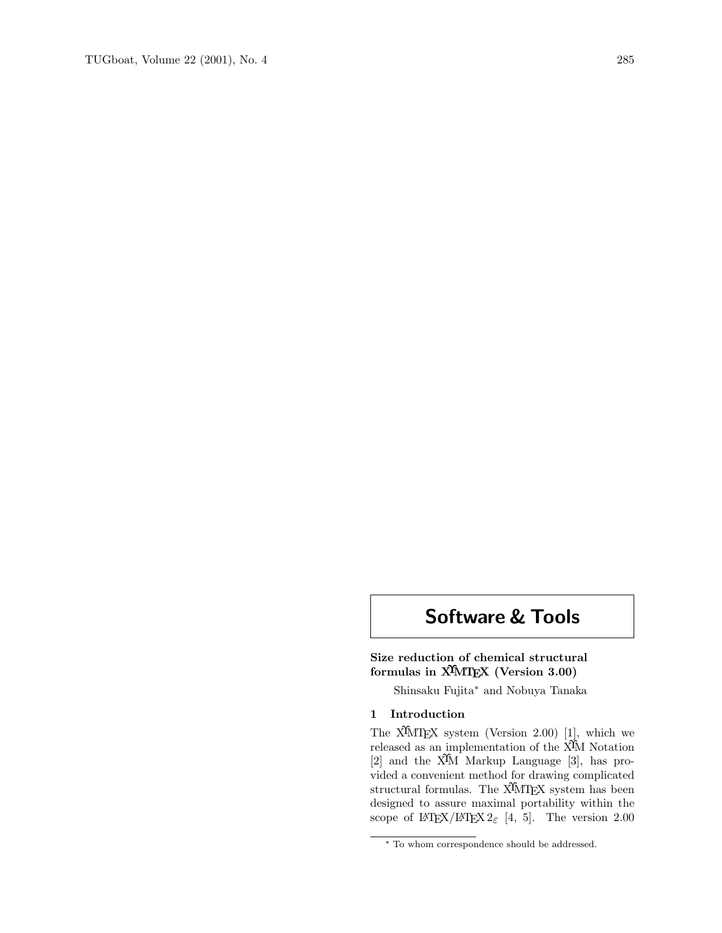# Software & Tools

# Size reduction of chemical structural formulas in X<sup>T</sup>MT<sub>E</sub>X (Version 3.00)

Shinsaku Fujita<sup>∗</sup> and Nobuya Tanaka

# 1 Introduction

The  $\widehat{X}$ MTEX system (Version 2.00) [1], which we released as an implementation of the  $\hat{X}$ M Notation [2] and the XΥM Markup Language [3], has provided a convenient method for drawing complicated structural formulas. The X<sup>I</sup>MT<sub>E</sub>X system has been designed to assure maximal portability within the scope of  $\text{LATEX}/\text{LATEX}$  2<sub>ε</sub> [4, 5]. The version 2.00

<sup>∗</sup> To whom correspondence should be addressed.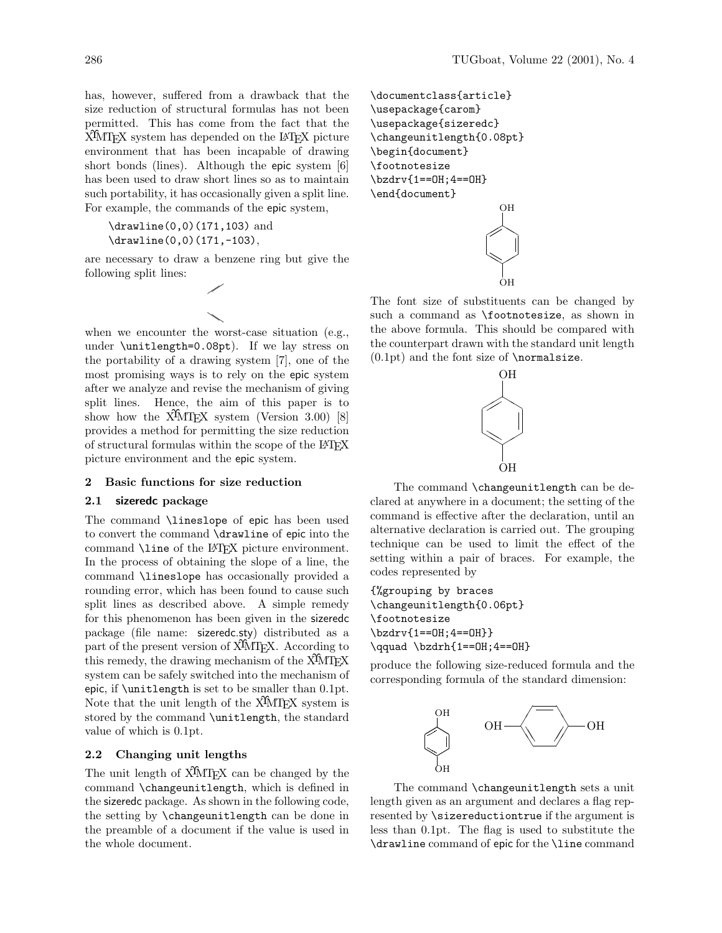has, however, suffered from a drawback that the size reduction of structural formulas has not been permitted. This has come from the fact that the X<sup>I</sup>MT<sub>EX</sub> system has depended on the L<sup>AT</sup>EX picture environment that has been incapable of drawing short bonds (lines). Although the epic system [6] has been used to draw short lines so as to maintain such portability, it has occasionally given a split line. For example, the commands of the epic system,

\drawline(0,0)(171,103) and \drawline(0,0)(171,-103),

are necessary to draw a benzene ring but give the following split lines:



when we encounter the worst-case situation (e.g., under \unitlength=0.08pt). If we lay stress on the portability of a drawing system [7], one of the most promising ways is to rely on the epic system after we analyze and revise the mechanism of giving split lines. Hence, the aim of this paper is to show how the  $\overline{X}$ MT<sub>F</sub>X system (Version 3.00) [8] provides a method for permitting the size reduction of structural formulas within the scope of the LATEX picture environment and the epic system.

#### 2 Basic functions for size reduction

## 2.1 sizeredc package

The command \lineslope of epic has been used to convert the command \drawline of epic into the command \line of the LATEX picture environment. In the process of obtaining the slope of a line, the command \lineslope has occasionally provided a rounding error, which has been found to cause such split lines as described above. A simple remedy for this phenomenon has been given in the sizeredc package (file name: sizeredc.sty) distributed as a part of the present version of X<sup>T</sup>MT<sub>EX</sub>. According to this remedy, the drawing mechanism of the  $\widehat{X}^{\widehat{I}}$ MT<sub>E</sub>X system can be safely switched into the mechanism of epic, if \unitlength is set to be smaller than 0.1pt. Note that the unit length of the  $\widehat{X}$ MT<sub>EX</sub> system is stored by the command \unitlength, the standard value of which is 0.1pt.

## 2.2 Changing unit lengths

The unit length of X<sup>I</sup>MT<sub>EX</sub> can be changed by the command \changeunitlength, which is defined in the sizeredc package. As shown in the following code, the setting by \changeunitlength can be done in the preamble of a document if the value is used in the whole document.

\documentclass{article} \usepackage{carom} \usepackage{sizeredc} \changeunitlength{0.08pt} \begin{document} \footnotesize \bzdrv{1==OH;4==OH} \end{document} OH



The font size of substituents can be changed by such a command as \footnotesize, as shown in the above formula. This should be compared with the counterpart drawn with the standard unit length  $(0.1pt)$  and the font size of \normalsize.



The command **\changeunitlength** can be declared at anywhere in a document; the setting of the command is effective after the declaration, until an alternative declaration is carried out. The grouping technique can be used to limit the effect of the setting within a pair of braces. For example, the codes represented by

{%grouping by braces \changeunitlength{0.06pt} \footnotesize \bzdrv{1==OH;4==OH}} \qquad \bzdrh{1==OH;4==OH}

produce the following size-reduced formula and the corresponding formula of the standard dimension:



The command \changeunitlength sets a unit length given as an argument and declares a flag represented by \sizereductiontrue if the argument is less than 0.1pt. The flag is used to substitute the \drawline command of epic for the \line command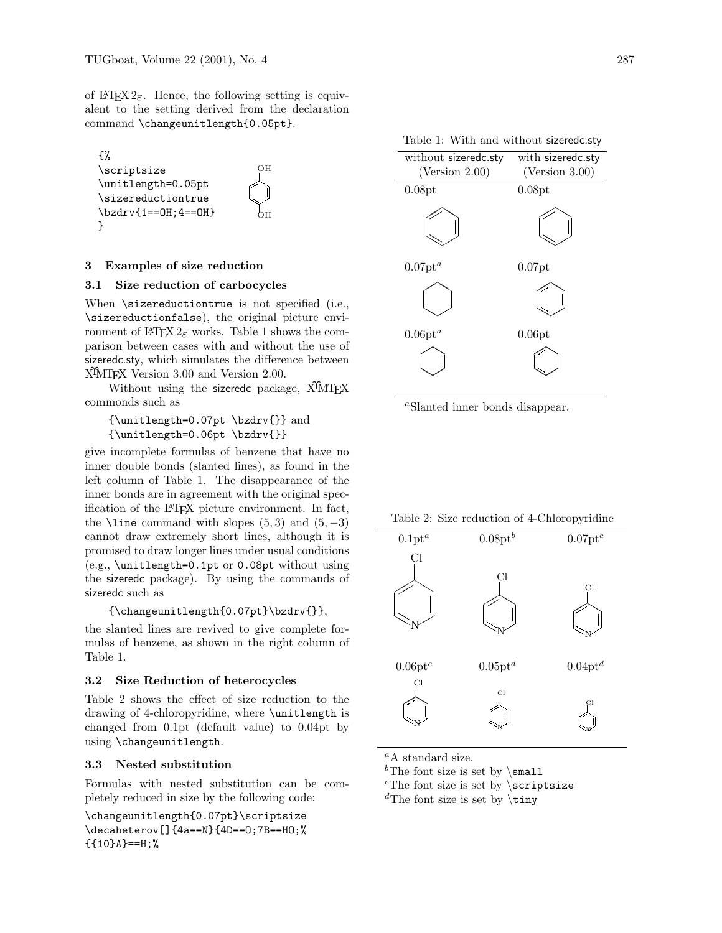of L<sup>AT</sup>EX 2<sub>ε</sub>. Hence, the following setting is equivalent to the setting derived from the declaration command \changeunitlength{0.05pt}.



## 3 Examples of size reduction

#### 3.1 Size reduction of carbocycles

When \sizereductiontrue is not specified (i.e., \sizereductionfalse), the original picture environment of  $\angle MFX2_{\epsilon}$  works. Table 1 shows the comparison between cases with and without the use of sizeredc.sty, which simulates the difference between XIMT<sub>EX</sub> Version 3.00 and Version 2.00.

Without using the sizeredc package, X<sup>I</sup>MT<sub>E</sub>X commonds such as

# {\unitlength=0.07pt \bzdrv{}} and {\unitlength=0.06pt \bzdrv{}}

give incomplete formulas of benzene that have no inner double bonds (slanted lines), as found in the left column of Table 1. The disappearance of the inner bonds are in agreement with the original specification of the LATEX picture environment. In fact, the  $\lambda$ line command with slopes (5,3) and (5, -3) cannot draw extremely short lines, although it is promised to draw longer lines under usual conditions (e.g., \unitlength=0.1pt or 0.08pt without using the sizeredc package). By using the commands of sizeredc such as

#### {\changeunitlength{0.07pt}\bzdrv{}},

the slanted lines are revived to give complete formulas of benzene, as shown in the right column of Table 1.

## 3.2 Size Reduction of heterocycles

Table 2 shows the effect of size reduction to the drawing of 4-chloropyridine, where \unitlength is changed from 0.1pt (default value) to 0.04pt by using \changeunitlength.

## 3.3 Nested substitution

Formulas with nested substitution can be completely reduced in size by the following code:

\changeunitlength{0.07pt}\scriptsize \decaheterov[]{4a==N}{4D==O;7B==HO;%  ${10}A = H;$ 

|  |  |  |  | Table 1: With and without sizeredc.sty |
|--|--|--|--|----------------------------------------|
|--|--|--|--|----------------------------------------|

| with sizeredc.sty |  |
|-------------------|--|
| (Version 3.00)    |  |
| 0.08pt            |  |
|                   |  |
| $0.07$ pt         |  |
|                   |  |
| 0.06pt            |  |
|                   |  |
|                   |  |

<sup>a</sup>Slanted inner bonds disappear.

Table 2: Size reduction of 4-Chloropyridine



 ${}^aA$  standard size.

<sup>b</sup>The font size is set by  $\mathrm{small}$ 

 $c$ The font size is set by  $\scriptstyle\setminus$ scriptsize

<sup>d</sup>The font size is set by  $\tau$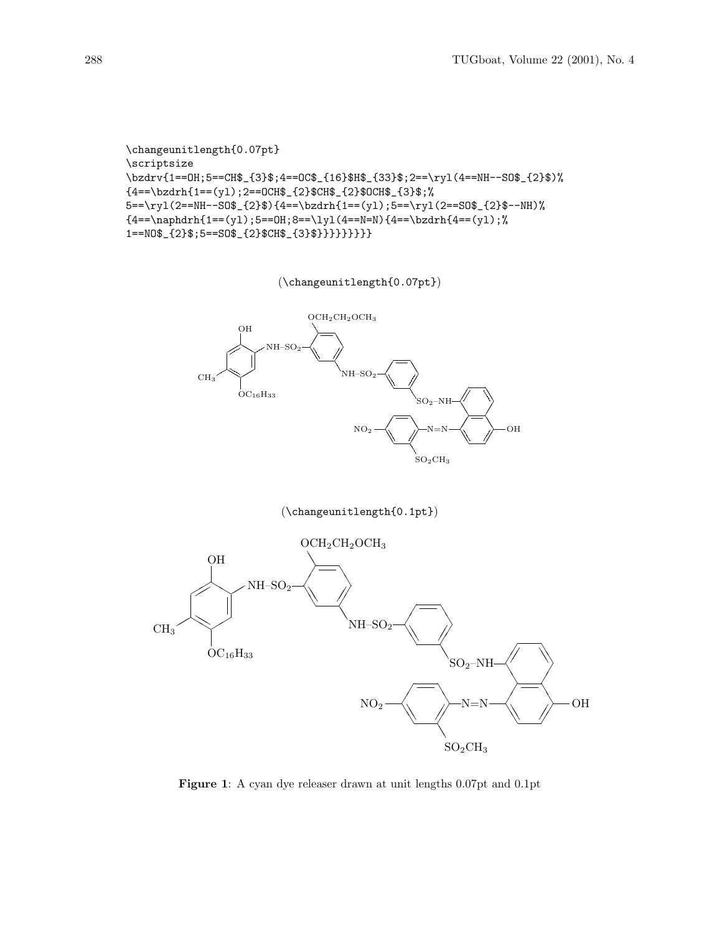```
\changeunitlength{0.07pt}
\scriptsize
\bzdrv{1==OH;5==CH$_{3}$;4==OC$_{16}$H$_{33}$;2==\ryl(4==NH--SO$_{2}$)%
{4==\bzdrh{1==(yl);2==OCH$_{2}$CH$_{2}$OCH$_{3}$;%
5 = \ryl(2 == NH--S0$_{2}$) {\4 == \bzdr}{1 == (yl)}; 5 == \ryl(2 == SO$_{2}$--NH){4=-\naphdrh{1=-(y1)};5==0H;8==\ly1(4==N)=4==\bzdrh{4==(y1)};1==NO$_{2}$;5==SO$_{2}$CH$_{3}$}}}}}}}}}
```
(\changeunitlength{0.07pt})



# (\changeunitlength{0.1pt})



Figure 1: A cyan dye releaser drawn at unit lengths 0.07pt and 0.1pt